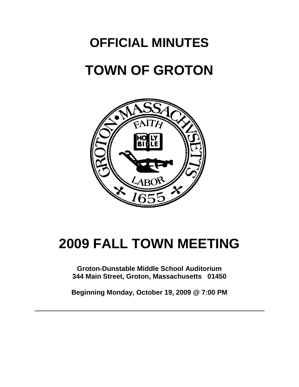# **OFFICIAL MINUTES TOWN OF GROTON**



# **2009 FALL TOWN MEETING**

**Groton-Dunstable Middle School Auditorium 344 Main Street, Groton, Massachusetts 01450**

**Beginning Monday, October 19, 2009 @ 7:00 PM**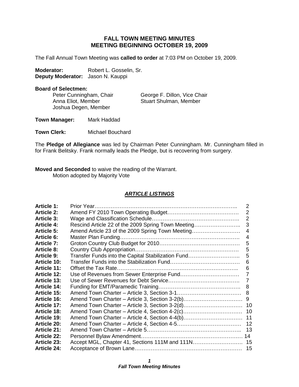# **FALL TOWN MEETING MINUTES MEETING BEGINNING OCTOBER 19, 2009**

The Fall Annual Town Meeting was **called to order** at 7:03 PM on October 19, 2009.

Moderator: Robert L. Gosselin, Sr. **Deputy Moderator:** Jason N. Kauppi

#### **Board of Selectmen:**

Joshua Degen, Member

Peter Cunningham, Chair George F. Dillon, Vice Chair Anna Eliot, Member Stuart Shulman, Member

**Town Manager:** Mark Haddad

**Town Clerk:** Michael Bouchard

The **Pledge of Allegiance** was led by Chairman Peter Cunningham. Mr. Cunningham filled in for Frank Belitsky. Frank normally leads the Pledge, but is recovering from surgery.

**Moved and Seconded** to waive the reading of the Warrant. Motion adopted by Majority Vote

#### *ARTICLE LISTINGS*

| <b>Article 1:</b>  |                                                    | 2  |
|--------------------|----------------------------------------------------|----|
| <b>Article 2:</b>  |                                                    | 2  |
| <b>Article 3:</b>  |                                                    | 2  |
| <b>Article 4:</b>  | Rescind Article 22 of the 2009 Spring Town Meeting | 3  |
| <b>Article 5:</b>  | Amend Article 23 of the 2009 Spring Town Meeting   | 4  |
| <b>Article 6:</b>  |                                                    | 4  |
| <b>Article 7:</b>  |                                                    | 5  |
| <b>Article 8:</b>  |                                                    | 5  |
| <b>Article 9:</b>  | Transfer Funds into the Capital Stabilization Fund | 5  |
| <b>Article 10:</b> |                                                    | 6  |
| <b>Article 11:</b> |                                                    | 6  |
| <b>Article 12:</b> |                                                    | 7  |
| <b>Article 13:</b> |                                                    | 7  |
| <b>Article 14:</b> |                                                    | 8  |
| <b>Article 15:</b> |                                                    |    |
| <b>Article 16:</b> | Amend Town Charter - Article 3, Section 3-2(b)     | 9  |
| <b>Article 17:</b> | Amend Town Charter - Article 3, Section 3-2(d)     | 10 |
| <b>Article 18:</b> | Amend Town Charter – Article 4, Section 4-2(c)     | 10 |
| <b>Article 19:</b> | Amend Town Charter - Article 4, Section 4-4(b)     | 11 |
| <b>Article 20:</b> |                                                    | 12 |
| <b>Article 21:</b> |                                                    | 13 |
| <b>Article 22:</b> |                                                    |    |
| <b>Article 23:</b> | Accept MGL, Chapter 41, Sections 111M and 111N 15  |    |
| <b>Article 24:</b> |                                                    |    |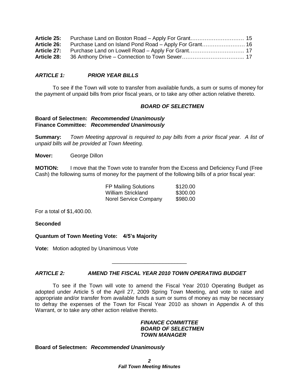# *ARTICLE 1: PRIOR YEAR BILLS*

To see if the Town will vote to transfer from available funds, a sum or sums of money for the payment of unpaid bills from prior fiscal years, or to take any other action relative thereto.

## *BOARD OF SELECTMEN*

#### **Board of Selectmen:** *Recommended Unanimously* **Finance Committee:** *Recommended Unanimously*

**Summary:** *Town Meeting approval is required to pay bills from a prior fiscal year. A list of unpaid bills will be provided at Town Meeting.*

**Mover:** George Dillon

**MOTION:** I move that the Town vote to transfer from the Excess and Deficiency Fund (Free Cash) the following sums of money for the payment of the following bills of a prior fiscal year:

| <b>FP Mailing Solutions</b>  | \$120.00 |
|------------------------------|----------|
| William Strickland           | \$300.00 |
| <b>Norel Service Company</b> | \$980.00 |

For a total of \$1,400.00.

**Seconded**

**Quantum of Town Meeting Vote: 4/5's Majority**

**Vote:** Motion adopted by Unanimous Vote

# *ARTICLE 2: AMEND THE FISCAL YEAR 2010 TOWN OPERATING BUDGET*

To see if the Town will vote to amend the Fiscal Year 2010 Operating Budget as adopted under Article 5 of the April 27, 2009 Spring Town Meeting, and vote to raise and appropriate and/or transfer from available funds a sum or sums of money as may be necessary to defray the expenses of the Town for Fiscal Year 2010 as shown in Appendix A of this Warrant, or to take any other action relative thereto.

\_\_\_\_\_\_\_\_\_\_\_\_\_\_\_\_\_\_\_\_\_\_\_\_\_

#### *FINANCE COMMITTEE BOARD OF SELECTMEN TOWN MANAGER*

#### **Board of Selectmen:** *Recommended Unanimously*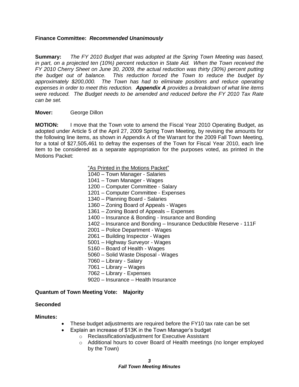## **Finance Committee:** *Recommended Unanimously*

**Summary:** *The FY 2010 Budget that was adopted at the Spring Town Meeting was based, in part, on a projected ten (10%) percent reduction in State Aid. When the Town received the FY 2010 Cherry Sheet on June 30, 2009, the actual reduction was thirty (30%) percent putting the budget out of balance. This reduction forced the Town to reduce the budget by approximately \$200,000. The Town has had to eliminate positions and reduce operating expenses in order to meet this reduction. Appendix A provides a breakdown of what line items were reduced. The Budget needs to be amended and reduced before the FY 2010 Tax Rate can be set.*

#### **Mover:** George Dillon

**MOTION:** I move that the Town vote to amend the Fiscal Year 2010 Operating Budget, as adopted under Article 5 of the April 27, 2009 Spring Town Meeting, by revising the amounts for the following line items, as shown in Appendix A of the Warrant for the 2009 Fall Town Meeting, for a total of \$27,505,461 to defray the expenses of the Town for Fiscal Year 2010, each line item to be considered as a separate appropriation for the purposes voted, as printed in the Motions Packet:

"As Printed in the Motions Packet"

- 1040 Town Manager Salaries
- 1041 Town Manager Wages
- 1200 Computer Committee Salary
- 1201 Computer Committee Expenses
- 1340 Planning Board Salaries
- 1360 Zoning Board of Appeals Wages
- 1361 Zoning Board of Appeals Expenses
- 1400 Insurance & Bonding Insurance and Bonding
- 1402 Insurance and Bonding Insurance Deductible Reserve 111F
- 2001 Police Department Wages
- 2061 Building Inspector Wages
- 5001 Highway Surveyor Wages
- 5160 Board of Health Wages
- 5060 Solid Waste Disposal Wages
- 7060 Library Salary
- 7061 Library Wages
- 7062 Library Expenses
- 9020 Insurance Health Insurance

#### **Quantum of Town Meeting Vote: Majority**

#### **Seconded**

#### **Minutes:**

- These budget adjustments are required before the FY10 tax rate can be set
- Explain an increase of \$13K in the Town Manager's budget
	- o Reclassification/adjustment for Executive Assistant
	- o Additional hours to cover Board of Health meetings (no longer employed by the Town)

*3 Fall Town Meeting Minutes*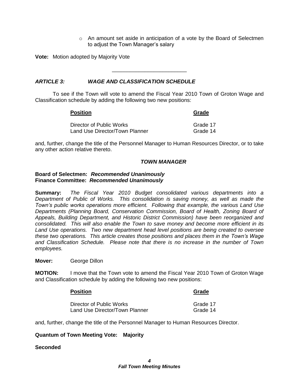$\circ$  An amount set aside in anticipation of a vote by the Board of Selectmen to adjust the Town Manager's salary

**Vote:** Motion adopted by Majority Vote

# *ARTICLE 3: WAGE AND CLASSIFICATION SCHEDULE*

To see if the Town will vote to amend the Fiscal Year 2010 Town of Groton Wage and Classification schedule by adding the following two new positions:

\_\_\_\_\_\_\_\_\_\_\_\_\_\_\_\_\_\_\_\_\_\_\_\_\_

| <b>Position</b>                | Grade    |  |
|--------------------------------|----------|--|
| Director of Public Works       | Grade 17 |  |
| Land Use Director/Town Planner | Grade 14 |  |

and, further, change the title of the Personnel Manager to Human Resources Director, or to take any other action relative thereto.

#### *TOWN MANAGER*

#### **Board of Selectmen:** *Recommended Unanimously* **Finance Committee:** *Recommended Unanimously*

**Summary:** *The Fiscal Year 2010 Budget consolidated various departments into a Department of Public of Works. This consolidation is saving money, as well as made the Town's public works operations more efficient. Following that example, the various Land Use Departments (Planning Board, Conservation Commission, Board of Health, Zoning Board of Appeals, Building Department, and Historic District Commission) have been reorganized and consolidated. This will also enable the Town to save money and become more efficient in its Land Use operations. Two new department head level positions are being created to oversee these two operations. This article creates those positions and places them in the Town's Wage and Classification Schedule. Please note that there is no increase in the number of Town employees.*

**Mover:** George Dillon

**MOTION:** I move that the Town vote to amend the Fiscal Year 2010 Town of Groton Wage and Classification schedule by adding the following two new positions:

# **Position Grade**

| Director of Public Works       | Grade 17 |
|--------------------------------|----------|
| Land Use Director/Town Planner | Grade 14 |

and, further, change the title of the Personnel Manager to Human Resources Director.

#### **Quantum of Town Meeting Vote: Majority**

#### **Seconded**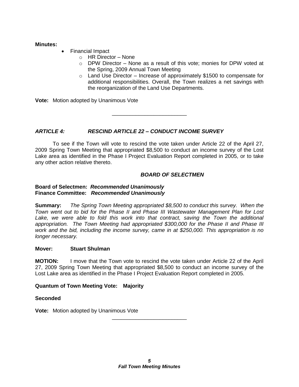# **Minutes:**

- Financial Impact
	- o HR Director None
	- $\circ$  DPW Director None as a result of this vote; monies for DPW voted at the Spring, 2009 Annual Town Meeting
	- $\circ$  Land Use Director Increase of approximately \$1500 to compensate for additional responsibilities. Overall, the Town realizes a net savings with the reorganization of the Land Use Departments.

**Vote:** Motion adopted by Unanimous Vote

*ARTICLE 4: RESCIND ARTICLE 22 – CONDUCT INCOME SURVEY*

To see if the Town will vote to rescind the vote taken under Article 22 of the April 27, 2009 Spring Town Meeting that appropriated \$8,500 to conduct an income survey of the Lost Lake area as identified in the Phase I Project Evaluation Report completed in 2005, or to take any other action relative thereto.

\_\_\_\_\_\_\_\_\_\_\_\_\_\_\_\_\_\_\_\_\_\_\_\_\_

# *BOARD OF SELECTMEN*

#### **Board of Selectmen:** *Recommended Unanimously* **Finance Committee:** *Recommended Unanimously*

**Summary:** *The Spring Town Meeting appropriated \$8,500 to conduct this survey. When the Town went out to bid for the Phase II and Phase III Wastewater Management Plan for Lost*  Lake, we were able to fold this work into that contract, saving the Town the additional *appropriation. The Town Meeting had appropriated \$300,000 for the Phase II and Phase III work and the bid, including the income survey, came in at \$250,000. This appropriation is no longer necessary.* 

# **Mover: Stuart Shulman**

**MOTION:** I move that the Town vote to rescind the vote taken under Article 22 of the April 27, 2009 Spring Town Meeting that appropriated \$8,500 to conduct an income survey of the Lost Lake area as identified in the Phase I Project Evaluation Report completed in 2005.

# **Quantum of Town Meeting Vote: Majority**

#### **Seconded**

**Vote:** Motion adopted by Unanimous Vote

\_\_\_\_\_\_\_\_\_\_\_\_\_\_\_\_\_\_\_\_\_\_\_\_\_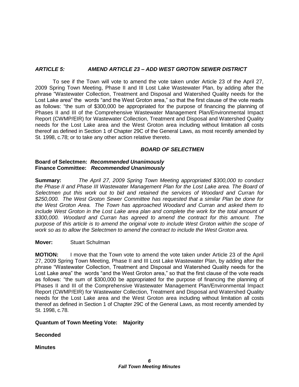# *ARTICLE 5: AMEND ARTICLE 23 – ADD WEST GROTON SEWER DISTRICT*

To see if the Town will vote to amend the vote taken under Article 23 of the April 27, 2009 Spring Town Meeting, Phase II and III Lost Lake Wastewater Plan, by adding after the phrase "Wastewater Collection, Treatment and Disposal and Watershed Quality needs for the Lost Lake area" the words "and the West Groton area," so that the first clause of the vote reads as follows: "the sum of \$300,000 be appropriated for the purpose of financing the planning of Phases II and III of the Comprehensive Wastewater Management Plan/Environmental Impact Report (CWMP/EIR) for Wastewater Collection, Treatment and Disposal and Watershed Quality needs for the Lost Lake area and the West Groton area including without limitation all costs thereof as defined in Section 1 of Chapter 29C of the General Laws, as most recently amended by St. 1998, c.78; or to take any other action relative thereto.

# *BOARD OF SELECTMEN*

## **Board of Selectmen:** *Recommended Unanimously* **Finance Committee:** *Recommended Unanimously*

**Summary:** *The April 27, 2009 Spring Town Meeting appropriated \$300,000 to conduct the Phase II and Phase III Wastewater Management Plan for the Lost Lake area. The Board of Selectmen put this work out to bid and retained the services of Woodard and Curran for \$250,000. The West Groton Sewer Committee has requested that a similar Plan be done for the West Groton Area. The Town has approached Woodard and Curran and asked them to include West Groton in the Lost Lake area plan and complete the work for the total amount of \$300,000. Woodard and Curran has agreed to amend the contract for this amount. The purpose of this article is to amend the original vote to include West Groton within the scope of work so as to allow the Selectmen to amend the contract to include the West Groton area.*

# **Mover:** Stuart Schulman

**MOTION:** I move that the Town vote to amend the vote taken under Article 23 of the April 27, 2009 Spring Town Meeting, Phase II and III Lost Lake Wastewater Plan, by adding after the phrase "Wastewater Collection, Treatment and Disposal and Watershed Quality needs for the Lost Lake area" the words "and the West Groton area," so that the first clause of the vote reads as follows: "the sum of \$300,000 be appropriated for the purpose of financing the planning of Phases II and III of the Comprehensive Wastewater Management Plan/Environmental Impact Report (CWMP/EIR) for Wastewater Collection, Treatment and Disposal and Watershed Quality needs for the Lost Lake area and the West Groton area including without limitation all costs thereof as defined in Section 1 of Chapter 29C of the General Laws, as most recently amended by St. 1998, c.78.

#### **Quantum of Town Meeting Vote: Majority**

# **Seconded**

**Minutes**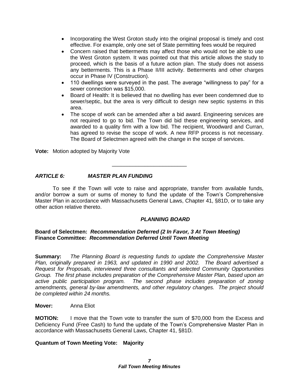- Incorporating the West Groton study into the original proposal is timely and cost effective. For example, only one set of State permitting fees would be required
- Concern raised that betterments may affect those who would not be able to use the West Groton system. It was pointed out that this article allows the study to proceed, which is the basis of a future action plan. The study does not assess any betterments. This is a Phase II/III activity. Betterments and other charges occur in Phase IV (Construction).
- 110 dwellings were surveyed in the past. The average "willingness to pay" for a sewer connection was \$15,000.
- Board of Health: It is believed that no dwelling has ever been condemned due to sewer/septic, but the area is very difficult to design new septic systems in this area.
- The scope of work can be amended after a bid award. Engineering services are not required to go to bid. The Town did bid these engineering services, and awarded to a quality firm with a low bid. The recipient, Woodward and Curran, has agreed to revise the scope of work. A new RFP process is not necessary. The Board of Selectmen agreed with the change in the scope of services.

**Vote:** Motion adopted by Majority Vote

# *ARTICLE 6: MASTER PLAN FUNDING*

To see if the Town will vote to raise and appropriate, transfer from available funds, and/or borrow a sum or sums of money to fund the update of the Town's Comprehensive Master Plan in accordance with Massachusetts General Laws, Chapter 41, §81D, or to take any other action relative thereto.

\_\_\_\_\_\_\_\_\_\_\_\_\_\_\_\_\_\_\_\_\_\_\_\_\_

# *PLANNING BOARD*

## **Board of Selectmen:** *Recommendation Deferred (2 In Favor, 3 At Town Meeting)* **Finance Committee:** *Recommendation Deferred Until Town Meeting*

**Summary:** *The Planning Board is requesting funds to update the Comprehensive Master Plan, originally prepared in 1963, and updated in 1990 and 2002. The Board advertised a Request for Proposals, interviewed three consultants and selected Community Opportunities Group. The first phase includes preparation of the Comprehensive Master Plan, based upon an active public participation program. The second phase includes preparation of zoning amendments, general by-law amendments, and other regulatory changes. The project should be completed within 24 months.*

#### **Mover:** Anna Eliot

**MOTION:** I move that the Town vote to transfer the sum of \$70,000 from the Excess and Deficiency Fund (Free Cash) to fund the update of the Town's Comprehensive Master Plan in accordance with Massachusetts General Laws, Chapter 41, §81D.

#### **Quantum of Town Meeting Vote: Majority**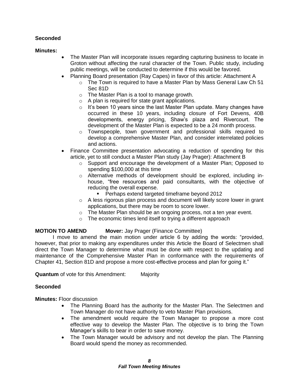# **Seconded**

# **Minutes:**

- The Master Plan will incorporate issues regarding capturing business to locate in Groton without affecting the rural character of the Town. Public study, including public meetings, will be conducted to determine if this would be favored.
- Planning Board presentation (Ray Capes) in favor of this article: Attachment A
	- $\circ$  The Town is required to have a Master Plan by Mass General Law Ch 51 Sec 81D
	- o The Master Plan is a tool to manage growth.
	- o A plan is required for state grant applications.
	- $\circ$  It's been 10 years since the last Master Plan update. Many changes have occurred in these 10 years, including closure of Fort Devens, 40B developments, energy pricing, Shaw's plaza and Rivercourt. The development of the Master Plan is expected to be a 24 month process.
	- o Townspeople, town government and professional skills required to develop a comprehensive Master Plan, and consider interrelated policies and actions.
- Finance Committee presentation advocating a reduction of spending for this article, yet to still conduct a Master Plan study (Jay Prager): Attachment B
	- $\circ$  Support and encourage the development of a Master Plan; Opposed to spending \$100,000 at this time
	- $\circ$  Alternative methods of development should be explored, including inhouse, "free resources and paid consultants, with the objective of reducing the overall expense.
		- **Perhaps extend targeted timeframe beyond 2012**
	- $\circ$  A less rigorous plan process and document will likely score lower in grant applications, but there may be room to score lower.
	- o The Master Plan should be an ongoing process, not a ten year event.
	- o The economic times lend itself to trying a different approach

# **MOTION TO AMEND Mover:** Jay Prager (Finance Committee)

I move to amend the main motion under article 6 by adding the words: "provided, however, that prior to making any expenditures under this Article the Board of Selectmen shall direct the Town Manager to determine what must be done with respect to the updating and maintenance of the Comprehensive Master Plan in conformance with the requirements of Chapter 41, Section 81D and propose a more cost-effective process and plan for going it."

**Quantum** of vote for this Amendment: Majority

# **Seconded**

**Minutes:** Floor discussion

- The Planning Board has the authority for the Master Plan. The Selectmen and Town Manager do not have authority to veto Master Plan provisions.
- The amendment would require the Town Manager to propose a more cost effective way to develop the Master Plan. The objective is to bring the Town Manager's skills to bear in order to save money.
- The Town Manager would be advisory and not develop the plan. The Planning Board would spend the money as recommended.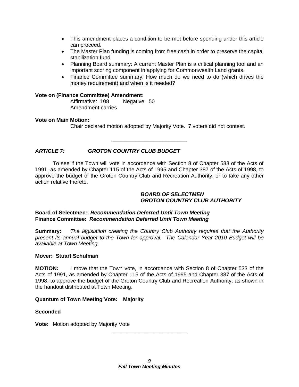- This amendment places a condition to be met before spending under this article can proceed.
- The Master Plan funding is coming from free cash in order to preserve the capital stabilization fund.
- Planning Board summary: A current Master Plan is a critical planning tool and an important scoring component in applying for Commonwealth Land grants.
- Finance Committee summary: How much do we need to do (which drives the money requirement) and when is it needed?

#### **Vote on (Finance Committee) Amendment:**

Affirmative: 108 Negative: 50 Amendment carries

## **Vote on Main Motion:**

Chair declared motion adopted by Majority Vote. 7 voters did not contest.

# *ARTICLE 7: GROTON COUNTRY CLUB BUDGET*

To see if the Town will vote in accordance with Section 8 of Chapter 533 of the Acts of 1991, as amended by Chapter 115 of the Acts of 1995 and Chapter 387 of the Acts of 1998, to approve the budget of the Groton Country Club and Recreation Authority, or to take any other action relative thereto.

\_\_\_\_\_\_\_\_\_\_\_\_\_\_\_\_\_\_\_\_\_\_\_\_\_

#### *BOARD OF SELECTMEN GROTON COUNTRY CLUB AUTHORITY*

## **Board of Selectmen:** *Recommendation Deferred Until Town Meeting* **Finance Committee:** *Recommendation Deferred Until Town Meeting*

**Summary:** *The legislation creating the Country Club Authority requires that the Authority present its annual budget to the Town for approval. The Calendar Year 2010 Budget will be available at Town Meeting.*

#### **Mover: Stuart Schulman**

**MOTION:** I move that the Town vote, in accordance with Section 8 of Chapter 533 of the Acts of 1991, as amended by Chapter 115 of the Acts of 1995 and Chapter 387 of the Acts of 1998, to approve the budget of the Groton Country Club and Recreation Authority, as shown in the handout distributed at Town Meeting.

# **Quantum of Town Meeting Vote: Majority**

# **Seconded**

**Vote:** Motion adopted by Majority Vote

\_\_\_\_\_\_\_\_\_\_\_\_\_\_\_\_\_\_\_\_\_\_\_\_\_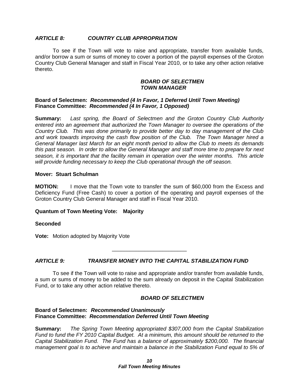#### *ARTICLE 8: COUNTRY CLUB APPROPRIATION*

To see if the Town will vote to raise and appropriate, transfer from available funds, and/or borrow a sum or sums of money to cover a portion of the payroll expenses of the Groton Country Club General Manager and staff in Fiscal Year 2010, or to take any other action relative thereto.

#### *BOARD OF SELECTMEN TOWN MANAGER*

#### **Board of Selectmen:** *Recommended (4 In Favor, 1 Deferred Until Town Meeting)* **Finance Committee:** *Recommended (4 In Favor, 1 Opposed)*

**Summary:** *Last spring, the Board of Selectmen and the Groton Country Club Authority entered into an agreement that authorized the Town Manager to oversee the operations of the Country Club. This was done primarily to provide better day to day management of the Club and work towards improving the cash flow position of the Club. The Town Manager hired a General Manager last March for an eight month period to allow the Club to meets its demands this past season. In order to allow the General Manager and staff more time to prepare for next season, it is important that the facility remain in operation over the winter months. This article will provide funding necessary to keep the Club operational through the off season.*

#### **Mover: Stuart Schulman**

**MOTION:** I move that the Town vote to transfer the sum of \$60,000 from the Excess and Deficiency Fund (Free Cash) to cover a portion of the operating and payroll expenses of the Groton Country Club General Manager and staff in Fiscal Year 2010.

#### **Quantum of Town Meeting Vote: Majority**

#### **Seconded**

**Vote:** Motion adopted by Majority Vote

# *ARTICLE 9: TRANSFER MONEY INTO THE CAPITAL STABILIZATION FUND*

To see if the Town will vote to raise and appropriate and/or transfer from available funds, a sum or sums of money to be added to the sum already on deposit in the Capital Stabilization Fund, or to take any other action relative thereto.

\_\_\_\_\_\_\_\_\_\_\_\_\_\_\_\_\_\_\_\_\_\_\_\_\_

#### *BOARD OF SELECTMEN*

#### **Board of Selectmen:** *Recommended Unanimously* **Finance Committee:** *Recommendation Deferred Until Town Meeting*

**Summary:** *The Spring Town Meeting appropriated \$307,000 from the Capital Stabilization Fund to fund the FY 2010 Capital Budget. At a minimum, this amount should be returned to the Capital Stabilization Fund. The Fund has a balance of approximately \$200,000. The financial management goal is to achieve and maintain a balance in the Stabilization Fund equal to 5% of*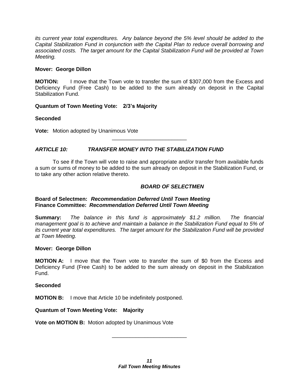*its current year total expenditures. Any balance beyond the 5% level should be added to the Capital Stabilization Fund in conjunction with the Capital Plan to reduce overall borrowing and associated costs. The target amount for the Capital Stabilization Fund will be provided at Town Meeting.*

#### **Mover: George Dillon**

**MOTION:** I move that the Town vote to transfer the sum of \$307,000 from the Excess and Deficiency Fund (Free Cash) to be added to the sum already on deposit in the Capital Stabilization Fund.

# **Quantum of Town Meeting Vote: 2/3's Majority**

## **Seconded**

**Vote:** Motion adopted by Unanimous Vote

# *ARTICLE 10: TRANSFER MONEY INTO THE STABILIZATION FUND*

To see if the Town will vote to raise and appropriate and/or transfer from available funds a sum or sums of money to be added to the sum already on deposit in the Stabilization Fund, or to take any other action relative thereto.

\_\_\_\_\_\_\_\_\_\_\_\_\_\_\_\_\_\_\_\_\_\_\_\_\_

## *BOARD OF SELECTMEN*

## **Board of Selectmen:** *Recommendation Deferred Until Town Meeting* **Finance Committee:** *Recommendation Deferred Until Town Meeting*

**Summary:** *The balance in this fund is approximately \$1.2 million. The financial management goal is to achieve and maintain a balance in the Stabilization Fund equal to 5% of its current year total expenditures. The target amount for the Stabilization Fund will be provided at Town Meeting.*

#### **Mover: George Dillon**

**MOTION A:** I move that the Town vote to transfer the sum of \$0 from the Excess and Deficiency Fund (Free Cash) to be added to the sum already on deposit in the Stabilization Fund.

#### **Seconded**

**MOTION B:** I move that Article 10 be indefinitely postponed.

#### **Quantum of Town Meeting Vote: Majority**

**Vote on MOTION B:** Motion adopted by Unanimous Vote

\_\_\_\_\_\_\_\_\_\_\_\_\_\_\_\_\_\_\_\_\_\_\_\_\_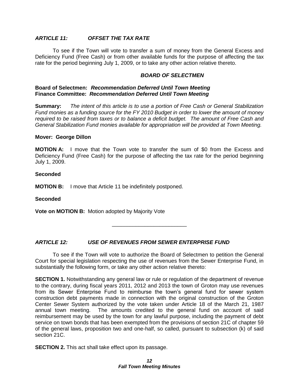# *ARTICLE 11: OFFSET THE TAX RATE*

To see if the Town will vote to transfer a sum of money from the General Excess and Deficiency Fund (Free Cash) or from other available funds for the purpose of affecting the tax rate for the period beginning July 1, 2009, or to take any other action relative thereto.

#### *BOARD OF SELECTMEN*

#### **Board of Selectmen:** *Recommendation Deferred Until Town Meeting* **Finance Committee:** *Recommendation Deferred Until Town Meeting*

**Summary:** *The intent of this article is to use a portion of Free Cash or General Stabilization Fund monies as a funding source for the FY 2010 Budget in order to lower the amount of money required to be raised from taxes or to balance a deficit budget. The amount of Free Cash and General Stabilization Fund monies available for appropriation will be provided at Town Meeting.*

#### **Mover: George Dillon**

**MOTION A:** I move that the Town vote to transfer the sum of \$0 from the Excess and Deficiency Fund (Free Cash) for the purpose of affecting the tax rate for the period beginning July 1, 2009.

#### **Seconded**

**MOTION B:** I move that Article 11 be indefinitely postponed.

#### **Seconded**

**Vote on MOTION B:** Motion adopted by Majority Vote

*ARTICLE 12: USE OF REVENUES FROM SEWER ENTERPRISE FUND*

To see if the Town will vote to authorize the Board of Selectmen to petition the General Court for special legislation respecting the use of revenues from the Sewer Enterprise Fund, in substantially the following form, or take any other action relative thereto:

\_\_\_\_\_\_\_\_\_\_\_\_\_\_\_\_\_\_\_\_\_\_\_\_\_

**SECTION 1.** Notwithstanding any general law or rule or regulation of the department of revenue to the contrary, during fiscal years 2011, 2012 and 2013 the town of Groton may use revenues from its Sewer Enterprise Fund to reimburse the town's general fund for sewer system construction debt payments made in connection with the original construction of the Groton Center Sewer System authorized by the vote taken under Article 18 of the March 21, 1987 annual town meeting. The amounts credited to the general fund on account of said reimbursement may be used by the town for any lawful purpose, including the payment of debt service on town bonds that has been exempted from the provisions of section 21C of chapter 59 of the general laws, proposition two and one-half, so called, pursuant to subsection (k) of said section 21C.

**SECTION 2.** This act shall take effect upon its passage.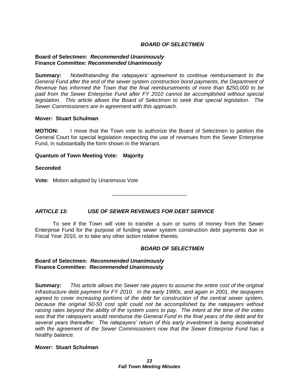# *BOARD OF SELECTMEN*

#### **Board of Selectmen:** *Recommended Unanimously* **Finance Committee:** *Recommended Unanimously*

**Summary:** *Notwithstanding the ratepayers' agreement to continue reimbursement to the General Fund after the end of the sewer system construction bond payments, the Department of Revenue has informed the Town that the final reimbursements of more than \$250,000 to be paid from the Sewer Enterprise Fund after FY 2010 cannot be accomplished without special legislation. This article allows the Board of Selectmen to seek that special legislation. The Sewer Commissioners are in agreement with this approach.*

#### **Mover: Stuart Schulman**

**MOTION:** I move that the Town vote to authorize the Board of Selectmen to petition the General Court for special legislation respecting the use of revenues from the Sewer Enterprise Fund, in substantially the form shown in the Warrant.

#### **Quantum of Town Meeting Vote: Majority**

#### **Seconded**

**Vote:** Motion adopted by Unanimous Vote

# *ARTICLE 13: USE OF SEWER REVENUES FOR DEBT SERVICE*

To see if the Town will vote to transfer a sum or sums of money from the Sewer Enterprise Fund for the purpose of funding sewer system construction debt payments due in Fiscal Year 2010, or to take any other action relative thereto.

\_\_\_\_\_\_\_\_\_\_\_\_\_\_\_\_\_\_\_\_\_\_\_\_\_

#### *BOARD OF SELECTMEN*

#### **Board of Selectmen:** *Recommended Unanimously* **Finance Committee:** *Recommended Unanimously*

**Summary:** *This article allows the Sewer rate payers to assume the entire cost of the original infrastructure debt payment for FY 2010. In the early 1990s, and again in 2001, the taxpayers agreed to cover increasing portions of the debt for construction of the central sewer system, because the original 50-50 cost split could not be accomplished by the ratepayers without raising rates beyond the ability of the system users to pay. The intent at the time of the votes was that the ratepayers would reimburse the General Fund in the final years of the debt and for several years thereafter. The ratepayers' return of this early investment is being accelerated with the agreement of the Sewer Commissioners now that the Sewer Enterprise Fund has a healthy balance.*

#### **Mover: Stuart Schulman**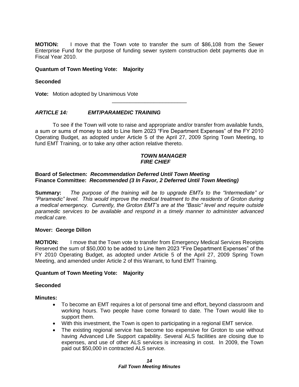**MOTION:** I move that the Town vote to transfer the sum of \$86,108 from the Sewer Enterprise Fund for the purpose of funding sewer system construction debt payments due in Fiscal Year 2010.

#### **Quantum of Town Meeting Vote: Majority**

#### **Seconded**

**Vote:** Motion adopted by Unanimous Vote

## *ARTICLE 14: EMT/PARAMEDIC TRAINING*

To see if the Town will vote to raise and appropriate and/or transfer from available funds, a sum or sums of money to add to Line Item 2023 "Fire Department Expenses" of the FY 2010 Operating Budget, as adopted under Article 5 of the April 27, 2009 Spring Town Meeting, to fund EMT Training, or to take any other action relative thereto.

\_\_\_\_\_\_\_\_\_\_\_\_\_\_\_\_\_\_\_\_\_\_\_\_\_

#### *TOWN MANAGER FIRE CHIEF*

#### **Board of Selectmen:** *Recommendation Deferred Until Town Meeting* **Finance Committee:** *Recommended (3 In Favor, 2 Deferred Until Town Meeting)*

**Summary:** *The purpose of the training will be to upgrade EMTs to the "Intermediate" or "Paramedic" level. This would improve the medical treatment to the residents of Groton during a medical emergency. Currently, the Groton EMT's are at the "Basic" level and require outside paramedic services to be available and respond in a timely manner to administer advanced medical care.*

#### **Mover: George Dillon**

**MOTION:** I move that the Town vote to transfer from Emergency Medical Services Receipts Reserved the sum of \$50,000 to be added to Line Item 2023 "Fire Department Expenses" of the FY 2010 Operating Budget, as adopted under Article 5 of the April 27, 2009 Spring Town Meeting, and amended under Article 2 of this Warrant, to fund EMT Training.

#### **Quantum of Town Meeting Vote: Majority**

#### **Seconded**

#### **Minutes:**

- To become an EMT requires a lot of personal time and effort, beyond classroom and working hours. Two people have come forward to date. The Town would like to support them.
- With this investment, the Town is open to participating in a regional EMT service.
- The existing regional service has become too expensive for Groton to use without having Advanced Life Support capability. Several ALS facilities are closing due to expenses, and use of other ALS services is increasing in cost. In 2009, the Town paid out \$50,000 in contracted ALS service.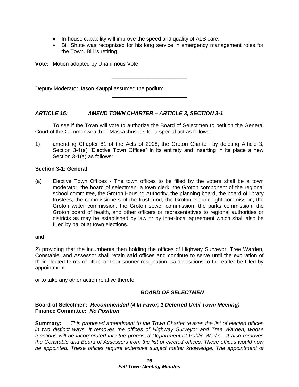- In-house capability will improve the speed and quality of ALS care.
- Bill Shute was recognized for his long service in emergency management roles for the Town. Bill is retiring.

**Vote:** Motion adopted by Unanimous Vote

Deputy Moderator Jason Kauppi assumed the podium

## *ARTICLE 15: AMEND TOWN CHARTER – ARTICLE 3, SECTION 3-1*

To see if the Town will vote to authorize the Board of Selectmen to petition the General Court of the Commonwealth of Massachusetts for a special act as follows:

\_\_\_\_\_\_\_\_\_\_\_\_\_\_\_\_\_\_\_\_\_\_\_\_\_

\_\_\_\_\_\_\_\_\_\_\_\_\_\_\_\_\_\_\_\_\_\_\_\_\_

1) amending Chapter 81 of the Acts of 2008, the Groton Charter, by deleting Article 3, Section 3-1(a) "Elective Town Offices" in its entirety and inserting in its place a new Section 3-1(a) as follows:

## **Section 3-1: General**

(a) Elective Town Offices - The town offices to be filled by the voters shall be a town moderator, the board of selectmen, a town clerk, the Groton component of the regional school committee, the Groton Housing Authority, the planning board, the board of library trustees, the commissioners of the trust fund, the Groton electric light commission, the Groton water commission, the Groton sewer commission, the parks commission, the Groton board of health, and other officers or representatives to regional authorities or districts as may be established by law or by inter-local agreement which shall also be filled by ballot at town elections.

and

2) providing that the incumbents then holding the offices of Highway Surveyor, Tree Warden, Constable, and Assessor shall retain said offices and continue to serve until the expiration of their elected terms of office or their sooner resignation, said positions to thereafter be filled by appointment.

or to take any other action relative thereto.

# *BOARD OF SELECTMEN*

## **Board of Selectmen:** *Recommended (4 In Favor, 1 Deferred Until Town Meeting)* **Finance Committee:** *No Position*

**Summary:** *This proposed amendment to the Town Charter revises the list of elected offices in two distinct ways. It removes the offices of Highway Surveyor and Tree Warden, whose functions will be incorporated into the proposed Department of Public Works. It also removes the Constable and Board of Assessors from the list of elected offices. These offices would now be appointed. These offices require extensive subject matter knowledge. The appointment of*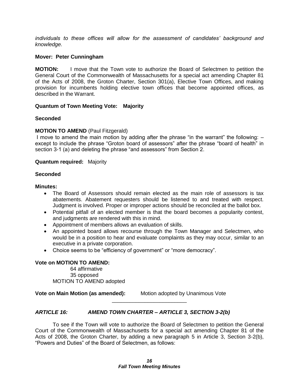*individuals to these offices will allow for the assessment of candidates' background and knowledge.*

#### **Mover: Peter Cunningham**

**MOTION:** I move that the Town vote to authorize the Board of Selectmen to petition the General Court of the Commonwealth of Massachusetts for a special act amending Chapter 81 of the Acts of 2008, the Groton Charter, Section 301(a), Elective Town Offices, and making provision for incumbents holding elective town offices that become appointed offices, as described in the Warrant.

## **Quantum of Town Meeting Vote: Majority**

#### **Seconded**

## **MOTION TO AMEND** (Paul Fitzgerald)

I move to amend the main motion by adding after the phrase "in the warrant" the following: – except to include the phrase "Groton board of assessors" after the phrase "board of health" in section 3-1 (a) and deleting the phrase "and assessors" from Section 2.

#### **Quantum required:** Majority

#### **Seconded**

#### **Minutes:**

- The Board of Assessors should remain elected as the main role of assessors is tax abatements. Abatement requesters should be listened to and treated with respect. Judgment is involved. Proper or improper actions should be reconciled at the ballot box.
- Potential pitfall of an elected member is that the board becomes a popularity contest, and judgments are rendered with this in mind.
- Appointment of members allows an evaluation of skills.
- An appointed board allows recourse through the Town Manager and Selectmen, who would be in a position to hear and evaluate complaints as they may occur, similar to an executive in a private corporation.
- Choice seems to be "efficiency of government" or "more democracy".

#### **Vote on MOTION TO AMEND:**

64 affirmative 35 opposed MOTION TO AMEND adopted

**Vote on Main Motion (as amended):** Motion adopted by Unanimous Vote

# *ARTICLE 16: AMEND TOWN CHARTER – ARTICLE 3, SECTION 3-2(b)*

To see if the Town will vote to authorize the Board of Selectmen to petition the General Court of the Commonwealth of Massachusetts for a special act amending Chapter 81 of the Acts of 2008, the Groton Charter, by adding a new paragraph 5 in Article 3, Section 3-2(b), "Powers and Duties" of the Board of Selectmen, as follows:

\_\_\_\_\_\_\_\_\_\_\_\_\_\_\_\_\_\_\_\_\_\_\_\_\_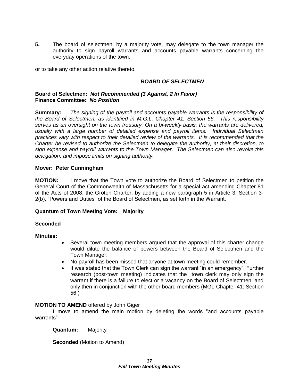**5.** The board of selectmen, by a majority vote, may delegate to the town manager the authority to sign payroll warrants and accounts payable warrants concerning the everyday operations of the town.

or to take any other action relative thereto.

# *BOARD OF SELECTMEN*

#### **Board of Selectmen:** *Not Recommended (3 Against, 2 In Favor)* **Finance Committee:** *No Position*

**Summary:** *The signing of the payroll and accounts payable warrants is the responsibility of the Board of Selectmen, as identified in M.G.L. Chapter 41, Section 56. This responsibility serves as an oversight on the town treasury. On a bi-weekly basis, the warrants are delivered, usually with a large number of detailed expense and payroll items. Individual Selectmen practices vary with respect to their detailed review of the warrants. It is recommended that the Charter be revised to authorize the Selectmen to delegate the authority, at their discretion, to sign expense and payroll warrants to the Town Manager. The Selectmen can also revoke this delegation, and impose limits on signing authority.* 

## **Mover: Peter Cunningham**

**MOTION:** I move that the Town vote to authorize the Board of Selectmen to petition the General Court of the Commonwealth of Massachusetts for a special act amending Chapter 81 of the Acts of 2008, the Groton Charter, by adding a new paragraph 5 in Article 3, Section 3- 2(b), "Powers and Duties" of the Board of Selectmen, as set forth in the Warrant.

#### **Quantum of Town Meeting Vote: Majority**

#### **Seconded**

# **Minutes:**

- Several town meeting members argued that the approval of this charter change would dilute the balance of powers between the Board of Selectmen and the Town Manager.
- No payroll has been missed that anyone at town meeting could remember.
- It was stated that the Town Clerk can sign the warrant "in an emergency". Further research (post-town meeting) indicates that the town clerk may only sign the warrant if there is a failure to elect or a vacancy on the Board of Selectmen, and only then in conjunction with the other board members (MGL Chapter 41: Section 56 )

#### **MOTION TO AMEND** offered by John Giger

I move to amend the main motion by deleting the words "and accounts payable warrants"

**Quantum:** Majority

**Seconded** (Motion to Amend)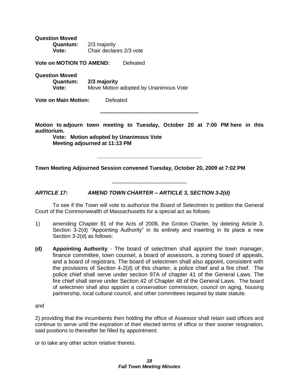**Question Moved Quantum:** 2/3 majority **Vote:** Chair declares 2/3 vote

**Vote on MOTION TO AMEND:** Defeated

**Question Moved**

**Quantum: 2/3 majority Vote:** Move Motion adopted by Unanimous Vote

**Vote on Main Motion:** Defeated

**-------------------------------------------------------**

**Motion to adjourn town meeting to Tuesday, October 20 at 7:00 PM here in this auditorium.**

**\_\_\_\_\_\_\_\_\_\_\_\_\_\_\_\_\_\_\_\_\_\_\_\_\_\_\_\_\_\_\_\_\_\_\_**

\_\_\_\_\_\_\_\_\_\_\_\_\_\_\_\_\_\_\_\_\_\_\_\_\_

**Vote: Motion adopted by Unanimous Vote Meeting adjourned at 11:13 PM** 

**Town Meeting Adjourned Session convened Tuesday, October 20, 2009 at 7:02 PM**

*ARTICLE 17: AMEND TOWN CHARTER – ARTICLE 3, SECTION 3-2(d)*

To see if the Town will vote to authorize the Board of Selectmen to petition the General Court of the Commonwealth of Massachusetts for a special act as follows:

- 1) amending Chapter 81 of the Acts of 2008, the Groton Charter, by deleting Article 3, Section 3-2(d) "Appointing Authority" in its entirety and inserting in its place a new Section 3-2(d) as follows:
- **(d) Appointing Authority** The board of selectmen shall appoint the town manager, finance committee, town counsel, a board of assessors, a zoning board of appeals, and a board of registrars. The board of selectmen shall also appoint, consistent with the provisions of Section 4-2(d) of this charter, a police chief and a fire chief. The police chief shall serve under section 97A of chapter 41 of the General Laws. The fire chief shall serve under Section 42 of Chapter 48 of the General Laws. The board of selectmen shall also appoint a conservation commission, council on aging, housing partnership, local cultural council, and other committees required by state statute.

and

2) providing that the incumbents then holding the office of Assessor shall retain said offices and continue to serve until the expiration of their elected terms of office or their sooner resignation, said positions to thereafter be filled by appointment.

or to take any other action relative thereto.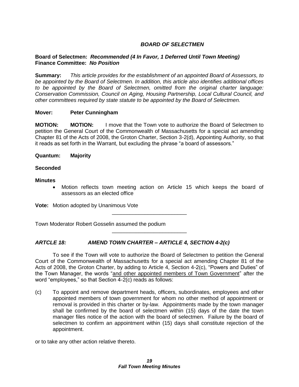# *BOARD OF SELECTMEN*

# **Board of Selectmen:** *Recommended (4 In Favor, 1 Deferred Until Town Meeting)* **Finance Committee:** *No Position*

**Summary:** *This article provides for the establishment of an appointed Board of Assessors, to be appointed by the Board of Selectmen. In addition, this article also identifies additional offices to be appointed by the Board of Selectmen, omitted from the original charter language: Conservation Commission, Council on Aging, Housing Partnership, Local Cultural Council, and other committees required by state statute to be appointed by the Board of Selectmen.*

## **Mover: Peter Cunningham**

**MOTION: MOTION:** I move that the Town vote to authorize the Board of Selectmen to petition the General Court of the Commonwealth of Massachusetts for a special act amending Chapter 81 of the Acts of 2008, the Groton Charter, Section 3-2(d), Appointing Authority, so that it reads as set forth in the Warrant, but excluding the phrase "a board of assessors."

**Quantum: Majority**

## **Seconded**

#### **Minutes**

 Motion reflects town meeting action on Article 15 which keeps the board of assessors as an elected office

**Vote:** Motion adopted by Unanimous Vote

Town Moderator Robert Gosselin assumed the podium

# *ARTCLE 18: AMEND TOWN CHARTER – ARTICLE 4, SECTION 4-2(c)*

To see if the Town will vote to authorize the Board of Selectmen to petition the General Court of the Commonwealth of Massachusetts for a special act amending Chapter 81 of the Acts of 2008, the Groton Charter, by adding to Article 4, Section 4-2(c), "Powers and Duties" of the Town Manager, the words "and other appointed members of Town Government" after the word "employees," so that Section 4-2(c) reads as follows:

\_\_\_\_\_\_\_\_\_\_\_\_\_\_\_\_\_\_\_\_\_\_\_\_\_

\_\_\_\_\_\_\_\_\_\_\_\_\_\_\_\_\_\_\_\_\_\_\_\_\_

(c) To appoint and remove department heads, officers, subordinates, employees and other appointed members of town government for whom no other method of appointment or removal is provided in this charter or by-law. Appointments made by the town manager shall be confirmed by the board of selectmen within (15) days of the date the town manager files notice of the action with the board of selectmen. Failure by the board of selectmen to confirm an appointment within (15) days shall constitute rejection of the appointment.

or to take any other action relative thereto.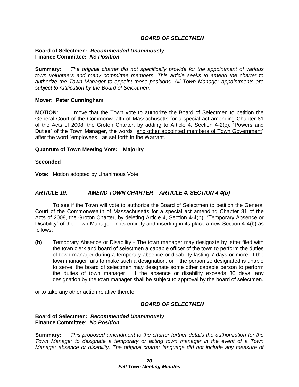#### *BOARD OF SELECTMEN*

#### **Board of Selectmen:** *Recommended Unanimously* **Finance Committee:** *No Position*

**Summary:** *The original charter did not specifically provide for the appointment of various town volunteers and many committee members. This article seeks to amend the charter to authorize the Town Manager to appoint these positions. All Town Manager appointments are subject to ratification by the Board of Selectmen.*

#### **Mover: Peter Cunningham**

**MOTION:** I move that the Town vote to authorize the Board of Selectmen to petition the General Court of the Commonwealth of Massachusetts for a special act amending Chapter 81 of the Acts of 2008, the Groton Charter, by adding to Article 4, Section 4-2(c), "Powers and Duties" of the Town Manager, the words "and other appointed members of Town Government" after the word "employees," as set forth in the Warrant.

## **Quantum of Town Meeting Vote: Majority**

#### **Seconded**

**Vote:** Motion adopted by Unanimous Vote

# *ARTICLE 19: AMEND TOWN CHARTER – ARTICLE 4, SECTION 4-4(b)*

To see if the Town will vote to authorize the Board of Selectmen to petition the General Court of the Commonwealth of Massachusetts for a special act amending Chapter 81 of the Acts of 2008, the Groton Charter, by deleting Article 4, Section 4-4(b), "Temporary Absence or Disability" of the Town Manager, in its entirety and inserting in its place a new Section 4-4(b) as follows:

\_\_\_\_\_\_\_\_\_\_\_\_\_\_\_\_\_\_\_\_\_\_\_\_\_

**(b)** Temporary Absence or Disability - The town manager may designate by letter filed with the town clerk and board of selectmen a capable officer of the town to perform the duties of town manager during a temporary absence or disability lasting 7 days or more. If the town manager fails to make such a designation, or if the person so designated is unable to serve, the board of selectmen may designate some other capable person to perform the duties of town manager. If the absence or disability exceeds 30 days, any designation by the town manager shall be subject to approval by the board of selectmen.

or to take any other action relative thereto.

# *BOARD OF SELECTMEN*

## **Board of Selectmen:** *Recommended Unanimously* **Finance Committee:** *No Position*

**Summary:** *This proposed amendment to the charter further details the authorization for the Town Manager to designate a temporary or acting town manager in the event of a Town Manager absence or disability. The original charter language did not include any measure of*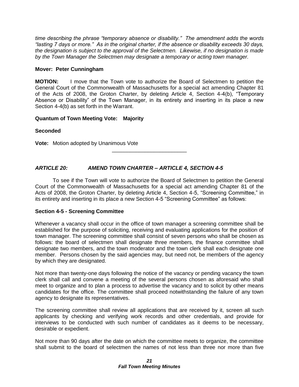*time describing the phrase "temporary absence or disability." The amendment adds the words "lasting 7 days or more." As in the original charter, if the absence or disability exceeds 30 days, the designation is subject to the approval of the Selectmen. Likewise, if no designation is made by the Town Manager the Selectmen may designate a temporary or acting town manager.*

## **Mover: Peter Cunningham**

**MOTION:** I move that the Town vote to authorize the Board of Selectmen to petition the General Court of the Commonwealth of Massachusetts for a special act amending Chapter 81 of the Acts of 2008, the Groton Charter, by deleting Article 4, Section 4-4(b), "Temporary Absence or Disability" of the Town Manager, in its entirety and inserting in its place a new Section 4-4(b) as set forth in the Warrant.

## **Quantum of Town Meeting Vote: Majority**

**Seconded**

**Vote:** Motion adopted by Unanimous Vote

# *ARTICLE 20: AMEND TOWN CHARTER – ARTICLE 4, SECTION 4-5*

To see if the Town will vote to authorize the Board of Selectmen to petition the General Court of the Commonwealth of Massachusetts for a special act amending Chapter 81 of the Acts of 2008, the Groton Charter, by deleting Article 4, Section 4-5, "Screening Committee," in its entirety and inserting in its place a new Section 4-5 "Screening Committee" as follows:

\_\_\_\_\_\_\_\_\_\_\_\_\_\_\_\_\_\_\_\_\_\_\_\_\_

# **Section 4-5 - Screening Committee**

Whenever a vacancy shall occur in the office of town manager a screening committee shall be established for the purpose of soliciting, receiving and evaluating applications for the position of town manager. The screening committee shall consist of seven persons who shall be chosen as follows: the board of selectmen shall designate three members, the finance committee shall designate two members, and the town moderator and the town clerk shall each designate one member. Persons chosen by the said agencies may, but need not, be members of the agency by which they are designated.

Not more than twenty-one days following the notice of the vacancy or pending vacancy the town clerk shall call and convene a meeting of the several persons chosen as aforesaid who shall meet to organize and to plan a process to advertise the vacancy and to solicit by other means candidates for the office. The committee shall proceed notwithstanding the failure of any town agency to designate its representatives.

The screening committee shall review all applications that are received by it, screen all such applicants by checking and verifying work records and other credentials, and provide for interviews to be conducted with such number of candidates as it deems to be necessary, desirable or expedient.

Not more than 90 days after the date on which the committee meets to organize, the committee shall submit to the board of selectmen the names of not less than three nor more than five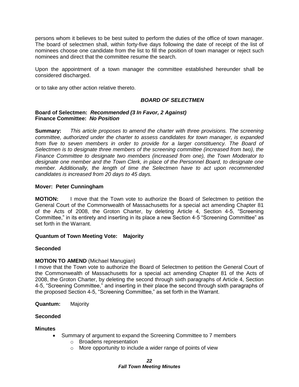persons whom it believes to be best suited to perform the duties of the office of town manager. The board of selectmen shall, within forty-five days following the date of receipt of the list of nominees choose one candidate from the list to fill the position of town manager or reject such nominees and direct that the committee resume the search.

Upon the appointment of a town manager the committee established hereunder shall be considered discharged.

or to take any other action relative thereto.

## *BOARD OF SELECTMEN*

#### **Board of Selectmen:** *Recommended (3 In Favor, 2 Against)* **Finance Committee:** *No Position*

**Summary:** *This article proposes to amend the charter with three provisions. The screening committee, authorized under the charter to assess candidates for town manager, is expanded from five to seven members in order to provide for a larger constituency. The Board of Selectmen is to designate three members of the screening committee (increased from two), the Finance Committee to designate two members (increased from one), the Town Moderator to designate one member and the Town Clerk, in place of the Personnel Board, to designate one member. Additionally, the length of time the Selectmen have to act upon recommended candidates is increased from 20 days to 45 days.* 

#### **Mover: Peter Cunningham**

**MOTION:** I move that the Town vote to authorize the Board of Selectmen to petition the General Court of the Commonwealth of Massachusetts for a special act amending Chapter 81 of the Acts of 2008, the Groton Charter, by deleting Article 4, Section 4-5, "Screening Committee," in its entirety and inserting in its place a new Section 4-5 "Screening Committee" as set forth in the Warrant.

#### **Quantum of Town Meeting Vote: Majority**

#### **Seconded**

#### **MOTION TO AMEND** (Michael Manugian)

I move that the Town vote to authorize the Board of Selectmen to petition the General Court of the Commonwealth of Massachusetts for a special act amending Chapter 81 of the Acts of 2008, the Groton Charter, by deleting the second through sixth paragraphs of Article 4, Section 4-5, "Screening Committee," and inserting in their place the second through sixth paragraphs of the proposed Section 4-5, "Screening Committee," as set forth in the Warrant.

**Quantum:** Majority

#### **Seconded**

#### **Minutes**

- Summary of argument to expand the Screening Committee to 7 members
	- o Broadens representation
	- $\circ$  More opportunity to include a wider range of points of view

#### *22 Fall Town Meeting Minutes*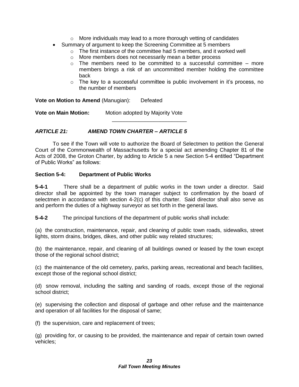- o More individuals may lead to a more thorough vetting of candidates
- Summary of argument to keep the Screening Committee at 5 members
	- o The first instance of the committee had 5 members, and it worked well
	- o More members does not necessarily mean a better process
	- $\circ$  The members need to be committed to a successful committee more members brings a risk of an uncommitted member holding the committee back
	- $\circ$  The key to a successful committee is public involvement in it's process, no the number of members

**Vote on Motion to Amend** (Manugian): Defeated

**Vote on Main Motion:** Motion adopted by Majority Vote

## *ARTICLE 21: AMEND TOWN CHARTER – ARTICLE 5*

To see if the Town will vote to authorize the Board of Selectmen to petition the General Court of the Commonwealth of Massachusetts for a special act amending Chapter 81 of the Acts of 2008, the Groton Charter, by adding to Article 5 a new Section 5-4 entitled "Department of Public Works" as follows:

\_\_\_\_\_\_\_\_\_\_\_\_\_\_\_\_\_\_\_\_\_\_\_\_\_

#### **Section 5-4: Department of Public Works**

**5-4-1** There shall be a department of public works in the town under a director. Said director shall be appointed by the town manager subject to confirmation by the board of selectmen in accordance with section 4-2(c) of this charter. Said director shall also serve as and perform the duties of a highway surveyor as set forth in the general laws.

**5-4-2** The principal functions of the department of public works shall include:

(a) the construction, maintenance, repair, and cleaning of public town roads, sidewalks, street lights, storm drains, bridges, dikes, and other public way related structures;

(b) the maintenance, repair, and cleaning of all buildings owned or leased by the town except those of the regional school district;

(c) the maintenance of the old cemetery, parks, parking areas, recreational and beach facilities, except those of the regional school district;

(d) snow removal, including the salting and sanding of roads, except those of the regional school district;

(e) supervising the collection and disposal of garbage and other refuse and the maintenance and operation of all facilities for the disposal of same;

(f) the supervision, care and replacement of trees;

(g) providing for, or causing to be provided, the maintenance and repair of certain town owned vehicles;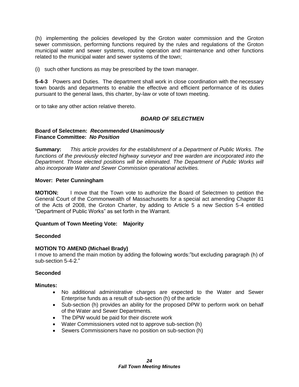(h) implementing the policies developed by the Groton water commission and the Groton sewer commission, performing functions required by the rules and regulations of the Groton municipal water and sewer systems, routine operation and maintenance and other functions related to the municipal water and sewer systems of the town;

(i) such other functions as may be prescribed by the town manager.

**5-4-3** Powers and Duties. The department shall work in close coordination with the necessary town boards and departments to enable the effective and efficient performance of its duties pursuant to the general laws, this charter, by-law or vote of town meeting.

or to take any other action relative thereto.

# *BOARD OF SELECTMEN*

## **Board of Selectmen:** *Recommended Unanimously* **Finance Committee:** *No Position*

**Summary:** *This article provides for the establishment of a Department of Public Works. The functions of the previously elected highway surveyor and tree warden are incorporated into the Department. Those elected positions will be eliminated. The Department of Public Works will also incorporate Water and Sewer Commission operational activities.* 

## **Mover: Peter Cunningham**

**MOTION:** I move that the Town vote to authorize the Board of Selectmen to petition the General Court of the Commonwealth of Massachusetts for a special act amending Chapter 81 of the Acts of 2008, the Groton Charter, by adding to Article 5 a new Section 5-4 entitled "Department of Public Works" as set forth in the Warrant.

# **Quantum of Town Meeting Vote: Majority**

#### **Seconded**

# **MOTION TO AMEND (Michael Brady)**

I move to amend the main motion by adding the following words:"but excluding paragraph (h) of sub-section 5-4-2."

# **Seconded**

# **Minutes:**

- No additional administrative charges are expected to the Water and Sewer Enterprise funds as a result of sub-section (h) of the article
- Sub-section (h) provides an ability for the proposed DPW to perform work on behalf of the Water and Sewer Departments.
- The DPW would be paid for their discrete work
- Water Commissioners voted not to approve sub-section (h)
- Sewers Commissioners have no position on sub-section (h)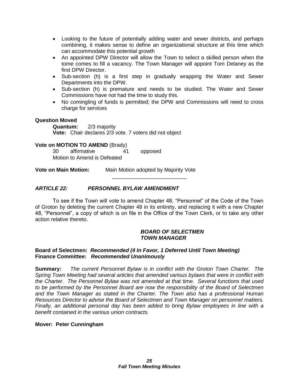- Looking to the future of potentially adding water and sewer districts, and perhaps combining, it makes sense to define an organizational structure at this time which can accommodate this potential growth
- An appointed DPW Director will allow the Town to select a skilled person when the tome comes to fill a vacancy. The Town Manager will appoint Tom Delaney as the first DPW Director.
- Sub-section (h) is a first step in gradually wrapping the Water and Sewer Departments into the DPW.
- Sub-section (h) is premature and needs to be studied. The Water and Sewer Commissions have not had the time to study this.
- No comingling of funds is permitted; the DPW and Commissions will need to cross charge for services

## **Question Moved**

**Quantum:** 2/3 majority **Vote:** Chair declares 2/3 vote. 7 voters did not object

## **Vote on MOTION TO AMEND** (Brady)

30 affirmative 41 opposed Motion to Amend is Defeated

**Vote on Main Motion:** Main Motion adopted by Majority Vote

# *ARTICLE 22: PERSONNEL BYLAW AMENDMENT*

To see if the Town will vote to amend Chapter 48, "Personnel" of the Code of the Town of Groton by deleting the current Chapter 48 in its entirety, and replacing it with a new Chapter 48, "Personnel", a copy of which is on file in the Office of the Town Clerk, or to take any other action relative thereto.

\_\_\_\_\_\_\_\_\_\_\_\_\_\_\_\_\_\_\_\_\_\_\_\_\_

#### *BOARD OF SELECTMEN TOWN MANAGER*

#### **Board of Selectmen:** *Recommended (4 In Favor, 1 Deferred Until Town Meeting)* **Finance Committee:** *Recommended Unanimously*

**Summary:** *The current Personnel Bylaw is in conflict with the Groton Town Charter. The Spring Town Meeting had several articles that amended various bylaws that were in conflict with the Charter. The Personnel Bylaw was not amended at that time. Several functions that used to be performed by the Personnel Board are now the responsibility of the Board of Selectmen and the Town Manager as stated in the Charter. The Town also has a professional Human Resources Director to advise the Board of Selectmen and Town Manager on personnel matters. Finally, an additional personal day has been added to bring Bylaw employees in line with a benefit contained in the various union contracts.*

#### **Mover: Peter Cunningham**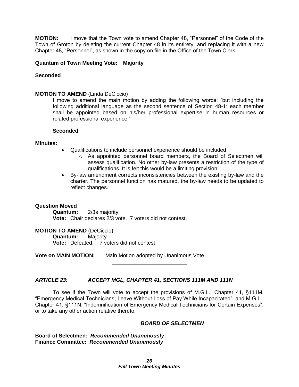**MOTION:** I move that the Town vote to amend Chapter 48, "Personnel" of the Code of the Town of Groton by deleting the current Chapter 48 in its entirety, and replacing it with a new Chapter 48, "Personnel", as shown in the copy on file in the Office of the Town Clerk.

#### **Quantum of Town Meeting Vote: Majority**

### **Seconded**

#### **MOTION TO AMEND** (Linda DeCiccio)

I move to amend the main motion by adding the following words: "but including the following additional language as the second sentence of Section 48-1: each member shall be appointed based on his/her professional expertise in human resources or related professional experience."

#### **Seconded**

#### **Minutes:**

- Qualifications to include personnel experience should be included
	- $\circ$  As appointed personnel board members, the Board of Selectmen will assess qualification. No other by-law presents a restriction of the type of qualifications. It is felt this would be a limiting provision.
- By-law amendment corrects inconsistencies between the existing by-law and the charter. The personnel function has matured, the by-law needs to be updated to reflect changes.

#### **Question Moved**

**Quantum:** 2/3s majority **Vote:** Chair declares 2/3 vote. 7 voters did not contest.

**MOTION TO AMEND** (DeCiccio) **Quantum:** Majority **Vote:** Defeated. 7 voters did not contest

**Vote on MAIN MOTION:** Main Motion adopted by Unanimous Vote

#### *ARTICLE 23: ACCEPT MGL, CHAPTER 41, SECTIONS 111M AND 111N*

To see if the Town will vote to accept the provisions of M.G.L., Chapter 41, §111M, "Emergency Medical Technicians; Leave Without Loss of Pay While Incapacitated"; and M.G.L., Chapter 41, §111N, "Indemnification of Emergency Medical Technicians for Certain Expenses", or to take any other action relative thereto.

\_\_\_\_\_\_\_\_\_\_\_\_\_\_\_\_\_\_\_\_\_\_\_\_\_

#### *BOARD OF SELECTMEN*

**Board of Selectmen:** *Recommended Unanimously* **Finance Committee:** *Recommended Unanimously*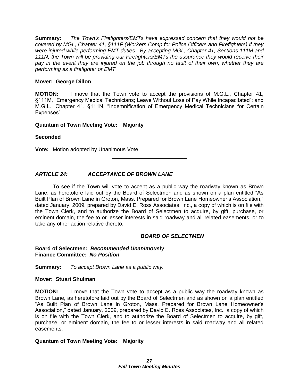**Summary:** *The Town's Firefighters/EMTs have expressed concern that they would not be covered by MGL, Chapter 41, §111F (Workers Comp for Police Officers and Firefighters) if they were injured while performing EMT duties. By accepting MGL, Chapter 41, Sections 111M and 111N, the Town will be providing our Firefighters/EMTs the assurance they would receive their*  pay in the event they are injured on the job through no fault of their own, whether they are *performing as a firefighter or EMT.*

## **Mover: George Dillon**

**MOTION:** I move that the Town vote to accept the provisions of M.G.L., Chapter 41, §111M, "Emergency Medical Technicians; Leave Without Loss of Pay While Incapacitated"; and M.G.L., Chapter 41, §111N, "Indemnification of Emergency Medical Technicians for Certain Expenses".

#### **Quantum of Town Meeting Vote: Majority**

## **Seconded**

**Vote:** Motion adopted by Unanimous Vote

# *ARTICLE 24: ACCEPTANCE OF BROWN LANE*

To see if the Town will vote to accept as a public way the roadway known as Brown Lane, as heretofore laid out by the Board of Selectmen and as shown on a plan entitled "As Built Plan of Brown Lane in Groton, Mass. Prepared for Brown Lane Homeowner's Association," dated January, 2009, prepared by David E. Ross Associates, Inc., a copy of which is on file with the Town Clerk, and to authorize the Board of Selectmen to acquire, by gift, purchase, or eminent domain, the fee to or lesser interests in said roadway and all related easements, or to take any other action relative thereto.

\_\_\_\_\_\_\_\_\_\_\_\_\_\_\_\_\_\_\_\_\_\_\_\_\_

#### *BOARD OF SELECTMEN*

#### **Board of Selectmen:** *Recommended Unanimously* **Finance Committee:** *No Position*

**Summary:** *To accept Brown Lane as a public way.*

#### **Mover: Stuart Shulman**

**MOTION:** I move that the Town vote to accept as a public way the roadway known as Brown Lane, as heretofore laid out by the Board of Selectmen and as shown on a plan entitled "As Built Plan of Brown Lane in Groton, Mass. Prepared for Brown Lane Homeowner's Association," dated January, 2009, prepared by David E. Ross Associates, Inc., a copy of which is on file with the Town Clerk, and to authorize the Board of Selectmen to acquire, by gift, purchase, or eminent domain, the fee to or lesser interests in said roadway and all related easements.

#### **Quantum of Town Meeting Vote: Majority**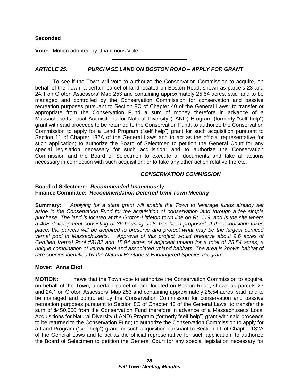## **Seconded**

**Vote:** Motion adopted by Unanimous Vote

# *ARTICLE 25: PURCHASE LAND ON BOSTON ROAD – APPLY FOR GRANT*

\_\_\_\_\_\_\_\_\_\_\_\_\_\_\_\_\_\_\_\_\_\_\_\_\_

To see if the Town will vote to authorize the Conservation Commission to acquire, on behalf of the Town, a certain parcel of land located on Boston Road, shown as parcels 23 and 24.1 on Groton Assessors' Map 253 and containing approximately 25.54 acres, said land to be managed and controlled by the Conservation Commission for conservation and passive recreation purposes pursuant to Section 8C of Chapter 40 of the General Laws; to transfer or appropriate from the Conservation Fund a sum of money therefore in advance of a Massachusetts Local Acquisitions for Natural Diversity (LAND) Program (formerly "self help") grant with said proceeds to be returned to the Conservation Fund; to authorize the Conservation Commission to apply for a Land Program ("self help") grant for such acquisition pursuant to Section 11 of Chapter 132A of the General Laws and to act as the official representative for such application; to authorize the Board of Selectmen to petition the General Court for any special legislation necessary for such acquisition; and to authorize the Conservation Commission and the Board of Selectmen to execute all documents and take all actions necessary in connection with such acquisition; or to take any other action relative thereto.

#### *CONSERVATION COMMISSION*

#### **Board of Selectmen:** *Recommended Unanimously* **Finance Committee:** *Recommendation Deferred Until Town Meeting*

**Summary:** *Applying for a state grant will enable the Town to leverage funds already set aside in the Conservation Fund for the acquisition of conservation land through a fee simple purchase. The land is located at the Groton-Littleton town line on Rt. 119, and is the site where a 40B development consisting of 36 housing units has been proposed. If the acquisition takes place,* t*he parcels will be acquired to preserve and protect what may be the largest certified vernal pool in Massachusetts. Approval of this project would preserve about 9.6 acres of Certified Vernal Pool #3182 and 15.94 acres of adjacent upland for a total of 25.54 acres, a unique combination of vernal pool and associated upland habitats. The area is known habitat of rare species identified by the Natural Heritage & Endangered Species Program.* 

# **Mover: Anna Eliot**

**MOTION:** I move that the Town vote to authorize the Conservation Commission to acquire, on behalf of the Town, a certain parcel of land located on Boston Road, shown as parcels 23 and 24.1 on Groton Assessors' Map 253 and containing approximately 25.54 acres, said land to be managed and controlled by the Conservation Commission for conservation and passive recreation purposes pursuant to Section 8C of Chapter 40 of the General Laws; to transfer the sum of \$450,000 from the Conservation Fund therefore in advance of a Massachusetts Local Acquisitions for Natural Diversity (LAND) Program (formerly "self help") grant with said proceeds to be returned to the Conservation Fund; to authorize the Conservation Commission to apply for a Land Program ("self help") grant for such acquisition pursuant to Section 11 of Chapter 132A of the General Laws and to act as the official representative for such application; to authorize the Board of Selectmen to petition the General Court for any special legislation necessary for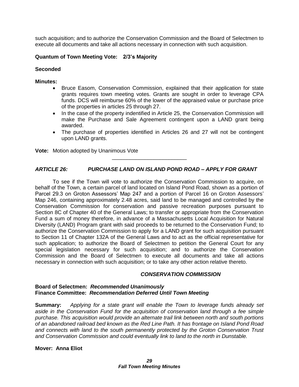such acquisition; and to authorize the Conservation Commission and the Board of Selectmen to execute all documents and take all actions necessary in connection with such acquisition.

## **Quantum of Town Meeting Vote: 2/3's Majority**

#### **Seconded**

#### **Minutes:**

- Bruce Easom, Conservation Commission, explained that their application for state grants requires town meeting votes. Grants are sought in order to leverage CPA funds. DCS will reimburse 60% of the lower of the appraised value or purchase price of the properties in articles 25 through 27.
- In the case of the property indentified in Article 25, the Conservation Commission will make the Purchase and Sale Agreement contingent upon a LAND grant being awarded.
- The purchase of properties identified in Articles 26 and 27 will not be contingent upon LAND grants.

**Vote:** Motion adopted by Unanimous Vote

## *ARTICLE 26: PURCHASE LAND ON ISLAND POND ROAD – APPLY FOR GRANT*

\_\_\_\_\_\_\_\_\_\_\_\_\_\_\_\_\_\_\_\_\_\_\_\_\_

To see if the Town will vote to authorize the Conservation Commission to acquire, on behalf of the Town, a certain parcel of land located on Island Pond Road, shown as a portion of Parcel 29.3 on Groton Assessors' Map 247 and a portion of Parcel 16 on Groton Assessors' Map 246, containing approximately 2.48 acres, said land to be managed and controlled by the Conservation Commission for conservation and passive recreation purposes pursuant to Section 8C of Chapter 40 of the General Laws; to transfer or appropriate from the Conservation Fund a sum of money therefore, in advance of a Massachusetts Local Acquisition for Natural Diversity (LAND) Program grant with said proceeds to be returned to the Conservation Fund; to authorize the Conservation Commission to apply for a LAND grant for such acquisition pursuant to Section 11 of Chapter 132A of the General Laws and to act as the official representative for such application; to authorize the Board of Selectmen to petition the General Court for any special legislation necessary for such acquisition; and to authorize the Conservation Commission and the Board of Selectmen to execute all documents and take all actions necessary in connection with such acquisition; or to take any other action relative thereto.

#### *CONSERVATION COMMISSION*

#### **Board of Selectmen:** *Recommended Unanimously* **Finance Committee:** *Recommendation Deferred Until Town Meeting*

**Summary:** *Applying for a state grant will enable the Town to leverage funds already set aside in the Conservation Fund for the acquisition of conservation land through a fee simple purchase. This acquisition would provide an alternate trail link between north and south portions of an abandoned railroad bed known as the Red Line Path. It has frontage on Island Pond Road and connects with land to the south permanently protected by the Groton Conservation Trust and Conservation Commission and could eventually link to land to the north in Dunstable.*

#### **Mover: Anna Eliot**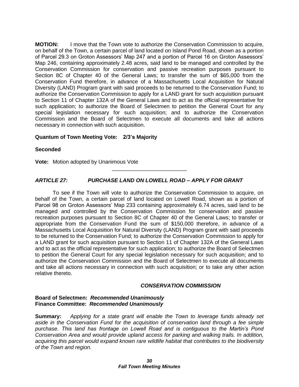**MOTION:** I move that the Town vote to authorize the Conservation Commission to acquire, on behalf of the Town, a certain parcel of land located on Island Pond Road, shown as a portion of Parcel 29.3 on Groton Assessors' Map 247 and a portion of Parcel 16 on Groton Assessors' Map 246, containing approximately 2.48 acres, said land to be managed and controlled by the Conservation Commission for conservation and passive recreation purposes pursuant to Section 8C of Chapter 40 of the General Laws; to transfer the sum of \$65,000 from the Conservation Fund therefore, in advance of a Massachusetts Local Acquisition for Natural Diversity (LAND) Program grant with said proceeds to be returned to the Conservation Fund; to authorize the Conservation Commission to apply for a LAND grant for such acquisition pursuant to Section 11 of Chapter 132A of the General Laws and to act as the official representative for such application; to authorize the Board of Selectmen to petition the General Court for any special legislation necessary for such acquisition; and to authorize the Conservation Commission and the Board of Selectmen to execute all documents and take all actions necessary in connection with such acquisition.

## **Quantum of Town Meeting Vote: 2/3's Majority**

**Seconded**

**Vote:** Motion adopted by Unanimous Vote

# *ARTICLE 27: PURCHASE LAND ON LOWELL ROAD – APPLY FOR GRANT*

\_\_\_\_\_\_\_\_\_\_\_\_\_\_\_\_\_\_\_\_\_\_\_\_\_

To see if the Town will vote to authorize the Conservation Commission to acquire, on behalf of the Town, a certain parcel of land located on Lowell Road, shown as a portion of Parcel 98 on Groton Assessors' Map 233 containing approximately 6.74 acres, said land to be managed and controlled by the Conservation Commission for conservation and passive recreation purposes pursuant to Section 8C of Chapter 40 of the General Laws; to transfer or appropriate from the Conservation Fund the sum of \$150,000 therefore, in advance of a Massachusetts Local Acquisition for Natural Diversity (LAND) Program grant with said proceeds to be returned to the Conservation Fund; to authorize the Conservation Commission to apply for a LAND grant for such acquisition pursuant to Section 11 of Chapter 132A of the General Laws and to act as the official representative for such application; to authorize the Board of Selectmen to petition the General Court for any special legislation necessary for such acquisition; and to authorize the Conservation Commission and the Board of Selectmen to execute all documents and take all actions necessary in connection with such acquisition; or to take any other action relative thereto.

#### *CONSERVATION COMMISSION*

#### **Board of Selectmen:** *Recommended Unanimously* **Finance Committee:** *Recommended Unanimously*

**Summary:** *Applying for a state grant will enable the Town to leverage funds already set aside in the Conservation Fund for the acquisition of conservation land through a fee simple purchase. This land has frontage on Lowell Road and is contiguous to the Martin's Pond Conservation Area and would provide upland access for parking and walking trails. In addition, acquiring this parcel would expand known rare wildlife habitat that contributes to the biodiversity of the Town and region.*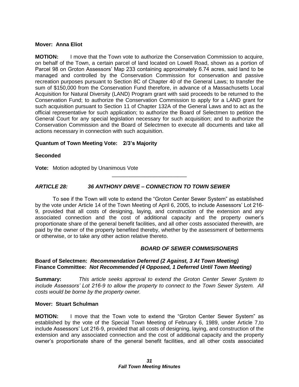#### **Mover: Anna Eliot**

**MOTION:** I move that the Town vote to authorize the Conservation Commission to acquire, on behalf of the Town, a certain parcel of land located on Lowell Road, shown as a portion of Parcel 98 on Groton Assessors' Map 233 containing approximately 6.74 acres, said land to be managed and controlled by the Conservation Commission for conservation and passive recreation purposes pursuant to Section 8C of Chapter 40 of the General Laws; to transfer the sum of \$150,000 from the Conservation Fund therefore, in advance of a Massachusetts Local Acquisition for Natural Diversity (LAND) Program grant with said proceeds to be returned to the Conservation Fund; to authorize the Conservation Commission to apply for a LAND grant for such acquisition pursuant to Section 11 of Chapter 132A of the General Laws and to act as the official representative for such application; to authorize the Board of Selectmen to petition the General Court for any special legislation necessary for such acquisition; and to authorize the Conservation Commission and the Board of Selectmen to execute all documents and take all actions necessary in connection with such acquisition.

# **Quantum of Town Meeting Vote: 2/3's Majority**

# **Seconded**

**Vote:** Motion adopted by Unanimous Vote

# *ARTICLE 28: 36 ANTHONY DRIVE – CONNECTION TO TOWN SEWER*

To see if the Town will vote to extend the "Groton Center Sewer System" as established by the vote under Article 14 of the Town Meeting of April 6, 2005, to include Assessors' Lot 216- 9, provided that all costs of designing, laying, and construction of the extension and any associated connection and the cost of additional capacity and the property owner's proportionate share of the general benefit facilities, and all other costs associated therewith, are paid by the owner of the property benefited thereby, whether by the assessment of betterments or otherwise, or to take any other action relative thereto.

\_\_\_\_\_\_\_\_\_\_\_\_\_\_\_\_\_\_\_\_\_\_\_\_\_

# *BOARD OF SEWER COMMISISONERS*

#### **Board of Selectmen:** *Recommendation Deferred (2 Against, 3 At Town Meeting)* **Finance Committee:** *Not Recommended (4 Opposed, 1 Deferred Until Town Meeting)*

**Summary:** *This article seeks approval to extend the Groton Center Sewer System to include Assessors' Lot 216-9 to allow the property to connect to the Town Sewer System. All costs would be borne by the property owner.*

#### **Mover: Stuart Schulman**

**MOTION:** I move that the Town vote to extend the "Groton Center Sewer System" as established by the vote of the Special Town Meeting of February 6, 1989, under Article 7,to include Assessors' Lot 216-9, provided that all costs of designing, laying, and construction of the extension and any associated connection and the cost of additional capacity and the property owner's proportionate share of the general benefit facilities, and all other costs associated